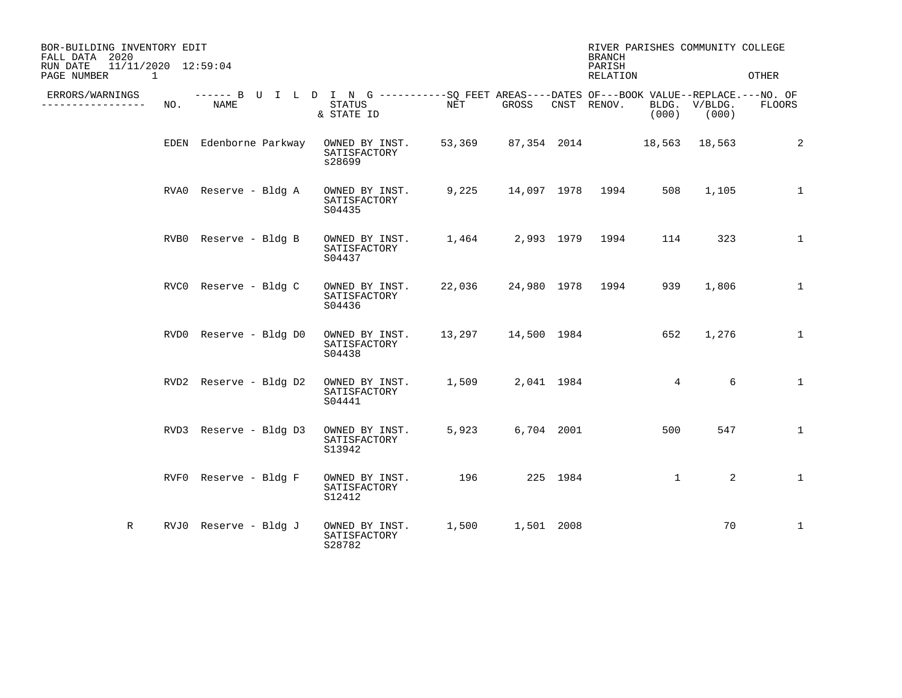| BOR-BUILDING INVENTORY EDIT<br>FALL DATA 2020<br>11/11/2020 12:59:04<br>RUN DATE<br>PAGE NUMBER 1 |     |                        |                                                                                                                     |         |                                  |          | <b>BRANCH</b><br>PARISH<br>RELATION |                 | RIVER PARISHES COMMUNITY COLLEGE | OTHER        |
|---------------------------------------------------------------------------------------------------|-----|------------------------|---------------------------------------------------------------------------------------------------------------------|---------|----------------------------------|----------|-------------------------------------|-----------------|----------------------------------|--------------|
| ERRORS/WARNINGS<br>________________                                                               | NO. | NAME                   | ------ B U I L D I N G -----------SQ FEET AREAS----DATES OF---BOOK VALUE--REPLACE.---NO. OF<br>STATUS<br>& STATE ID | NET NET | GROSS CNST RENOV.                |          |                                     |                 | BLDG. V/BLDG.<br>$(000)$ (000)   | FLOORS       |
|                                                                                                   |     | EDEN Edenborne Parkway | OWNED BY INST.<br>SATISFACTORY<br>s28699                                                                            |         | 53,369 87,354 2014 18,563 18,563 |          |                                     |                 |                                  | 2            |
|                                                                                                   |     | RVAO Reserve - Bldg A  | OWNED BY INST.<br>SATISFACTORY<br>S04435                                                                            |         | 9,225 14,097 1978 1994 508       |          |                                     |                 | 1,105                            | $\mathbf{1}$ |
|                                                                                                   |     | RVB0 Reserve - Bldg B  | OWNED BY INST. 1,464 2,993 1979 1994<br>SATISFACTORY<br>S04437                                                      |         |                                  |          |                                     |                 | 323<br>114                       | $\mathbf{1}$ |
|                                                                                                   |     | RVCO Reserve - Bldg C  | OWNED BY INST.<br>SATISFACTORY<br>S04436                                                                            |         | 22,036 24,980 1978 1994          |          |                                     | 939             | 1,806                            | $\mathbf{1}$ |
|                                                                                                   |     | RVD0 Reserve - Bldg D0 | OWNED BY INST. 13,297 14,500 1984<br>SATISFACTORY<br>S04438                                                         |         |                                  |          |                                     | 652             | 1,276                            | $\mathbf{1}$ |
|                                                                                                   |     | RVD2 Reserve - Bldg D2 | OWNED BY INST. 1,509 2,041 1984<br>SATISFACTORY<br>S04441                                                           |         |                                  |          |                                     | $4\overline{ }$ | 6                                | $\mathbf{1}$ |
|                                                                                                   |     | RVD3 Reserve - Bldg D3 | OWNED BY INST.<br>SATISFACTORY<br>S13942                                                                            |         | 5,923 6,704 2001                 |          |                                     | 500             | 547                              | $\mathbf{1}$ |
|                                                                                                   |     | RVF0 Reserve - Bldg F  | OWNED BY INST. 196<br>SATISFACTORY<br>S12412                                                                        |         |                                  | 225 1984 |                                     | $\mathbf{1}$    | 2                                | $\mathbf{1}$ |
| $\mathbb{R}$                                                                                      |     | RVJ0 Reserve - Bldg J  | OWNED BY INST.<br>SATISFACTORY<br>S28782                                                                            |         | 1,500 1,501 2008                 |          |                                     |                 | 70                               | $\mathbf{1}$ |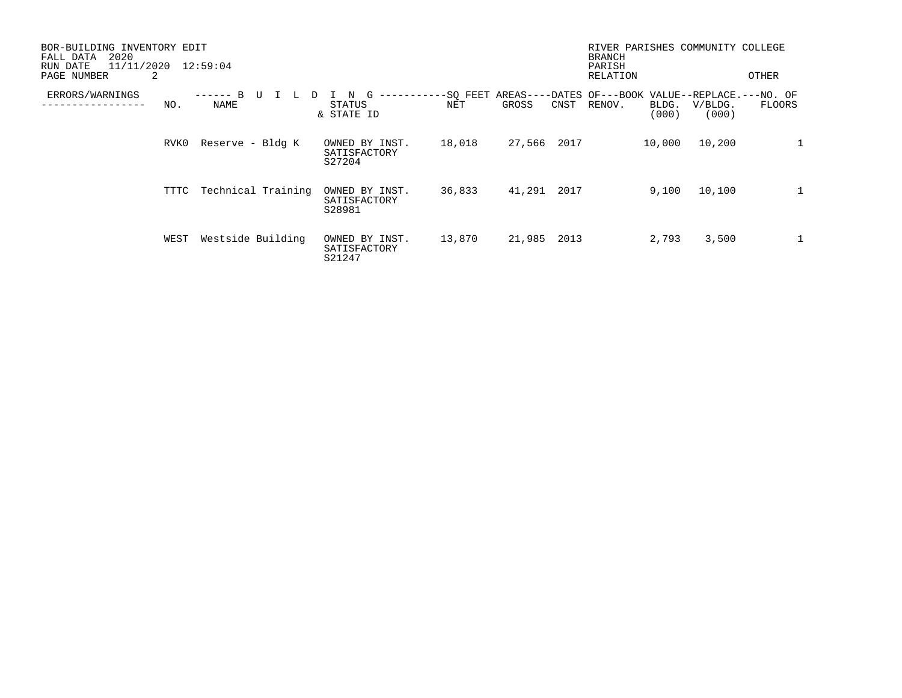| BOR-BUILDING INVENTORY EDIT<br>2020<br>FALL DATA<br>11/11/2020<br>RUN DATE<br>PAGE NUMBER<br>2 |      | 12:59:04           |    |                                          |        |        |      | RIVER PARISHES COMMUNITY COLLEGE<br><b>BRANCH</b><br>PARISH<br>RELATION |                |                  | OTHER         |
|------------------------------------------------------------------------------------------------|------|--------------------|----|------------------------------------------|--------|--------|------|-------------------------------------------------------------------------|----------------|------------------|---------------|
| ERRORS/WARNINGS                                                                                | NO.  | B<br>NAME          | ъ. | G<br>N<br>STATUS<br>& STATE ID           | NET    | GROSS  | CNST | -SO FEET AREAS----DATES OF---BOOK VALUE--REPLACE.---NO. OF<br>RENOV.    | BLDG.<br>(000) | V/BLDG.<br>(000) | <b>FLOORS</b> |
|                                                                                                | RVK0 | Reserve - Bldg K   |    | OWNED BY INST.<br>SATISFACTORY<br>S27204 | 18,018 | 27,566 | 2017 |                                                                         | 10,000         | 10,200           |               |
|                                                                                                | TTTC | Technical Training |    | OWNED BY INST.<br>SATISFACTORY<br>S28981 | 36,833 | 41,291 | 2017 |                                                                         | 9,100          | 10,100           | $\mathbf{1}$  |
|                                                                                                | WEST | Westside Building  |    | OWNED BY INST.<br>SATISFACTORY<br>S21247 | 13,870 | 21,985 | 2013 |                                                                         | 2,793          | 3,500            | $\mathbf{1}$  |